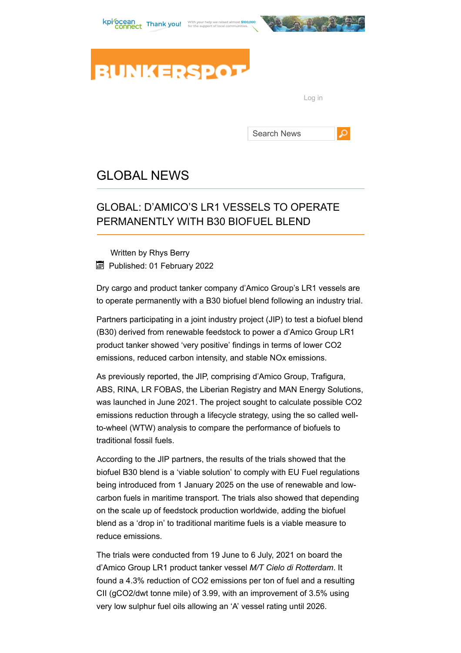

## **BUNKERSPOT**

Log in

Search News

 $\circ$ 

## GLOBAL NEWS

## GLOBAL: D'AMICO'S LR1 VESSELS TO OPERATE PERMANENTLY WITH B30 BIOFUEL BLEND

Written by [Rhys Berry](https://www.bunkerspot.com/authors/2-rhys-berry) Published: 01 February 2022

Dry cargo and product tanker company d'Amico Group's LR1 vessels are to operate permanently with a B30 biofuel blend following an industry trial.

Partners participating in a joint industry project (JIP) to test a biofuel blend (B30) derived from renewable feedstock to power a d'Amico Group LR1 product tanker showed 'very positive' findings in terms of lower CO2 emissions, reduced carbon intensity, and stable NOx emissions.

As previously reported, the JIP, comprising d'Amico Group, Trafigura, ABS, RINA, LR FOBAS, the Liberian Registry and MAN Energy Solutions, [was launched in June 2021.](https://www.bunkerspot.com/news-archive?view=article&id=53369%3aglobal-cross-section-of-industry-stakeholders-to-trial-biofuel-bunkers&catid=14&ce_b4=TGVzbGV5QHBldHJvc3BvdC5jb20%3d&cas_b4=Umh5c0BwZXRyb3Nwb3QuY29t&utm_medium=email&utm_source=outlook&coid=dW5kZWZpbmVkfDE2NDM3MTQ0NjZ8MzMzMTA%3D) The project sought to calculate possible CO2 emissions reduction through a lifecycle strategy, using the so called wellto-wheel (WTW) analysis to compare the performance of biofuels to traditional fossil fuels.

According to the JIP partners, the results of the trials showed that the biofuel B30 blend is a 'viable solution' to comply with EU Fuel regulations being introduced from 1 January 2025 on the use of renewable and lowcarbon fuels in maritime transport. The trials also showed that depending on the scale up of feedstock production worldwide, adding the biofuel blend as a 'drop in' to traditional maritime fuels is a viable measure to reduce emissions.

The trials were conducted from 19 June to 6 July, 2021 on board the d'Amico Group LR1 product tanker vessel *M/T Cielo di Rotterdam*. It found a 4.3% reduction of CO2 emissions per ton of fuel and a resulting CII (gCO2/dwt tonne mile) of 3.99, with an improvement of 3.5% using very low sulphur fuel oils allowing an 'A' vessel rating until 2026.